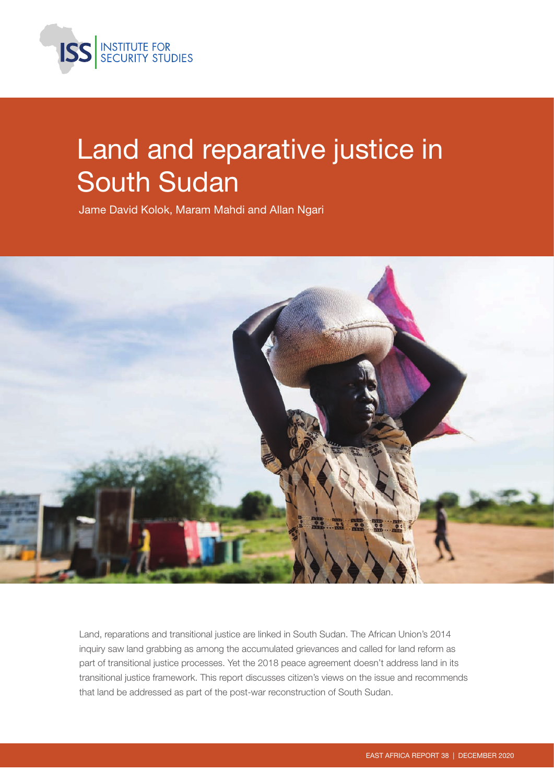

# Land and reparative justice in South Sudan

Jame David Kolok, Maram Mahdi and Allan Ngari



Land, reparations and transitional justice are linked in South Sudan. The African Union's 2014 inquiry saw land grabbing as among the accumulated grievances and called for land reform as part of transitional justice processes. Yet the 2018 peace agreement doesn't address land in its transitional justice framework. This report discusses citizen's views on the issue and recommends that land be addressed as part of the post-war reconstruction of South Sudan.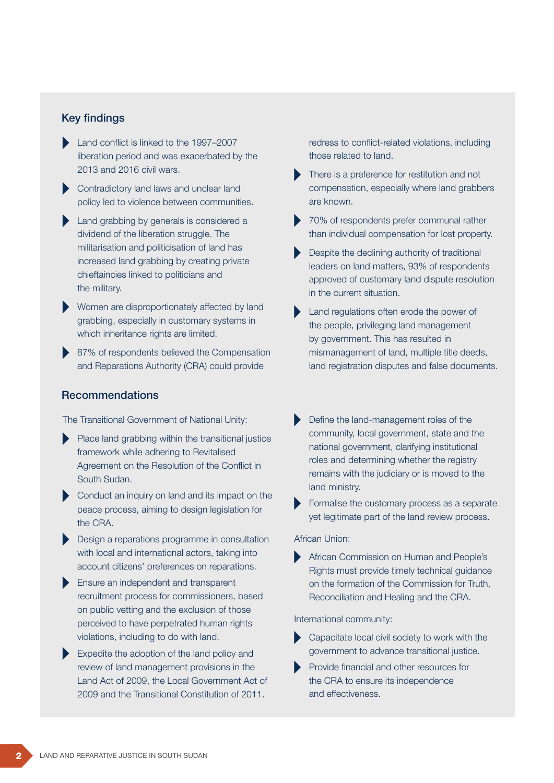### Key findings

- Land conflict is linked to the 1997–2007 liberation period and was exacerbated by the 2013 and 2016 civil wars.
- Contradictory land laws and unclear land policy led to violence between communities.
- Land grabbing by generals is considered a dividend of the liberation struggle. The militarisation and politicisation of land has increased land grabbing by creating private chieftaincies linked to politicians and the military.
- Women are disproportionately affected by land grabbing, especially in customary systems in which inheritance rights are limited.
- 87% of respondents believed the Compensation and Reparations Authority (CRA) could provide

### Recommendations

The Transitional Government of National Unity:

- Place land grabbing within the transitional justice framework while adhering to Revitalised Agreement on the Resolution of the Conflict in South Sudan.
- Conduct an inquiry on land and its impact on the peace process, aiming to design legislation for the CRA.
- Design a reparations programme in consultation with local and international actors, taking into account citizens' preferences on reparations.
- Ensure an independent and transparent recruitment process for commissioners, based on public vetting and the exclusion of those perceived to have perpetrated human rights violations, including to do with land.
- Expedite the adoption of the land policy and review of land management provisions in the Land Act of 2009, the Local Government Act of 2009 and the Transitional Constitution of 2011.

redress to conflict-related violations, including those related to land.

- There is a preference for restitution and not compensation, especially where land grabbers are known.
- ▶ 70% of respondents prefer communal rather than individual compensation for lost property.
- Despite the declining authority of traditional leaders on land matters, 93% of respondents approved of customary land dispute resolution in the current situation.
- Land regulations often erode the power of the people, privileging land management by government. This has resulted in mismanagement of land, multiple title deeds, land registration disputes and false documents.
- Define the land-management roles of the community, local government, state and the national government, clarifying institutional roles and determining whether the registry remains with the judiciary or is moved to the land ministry.
- Formalise the customary process as a separate yet legitimate part of the land review process.

#### African Union:

African Commission on Human and People's Rights must provide timely technical guidance on the formation of the Commission for Truth, Reconciliation and Healing and the CRA.

#### International community:

- Capacitate local civil society to work with the government to advance transitional justice.
- Provide financial and other resources for the CRA to ensure its independence and effectiveness.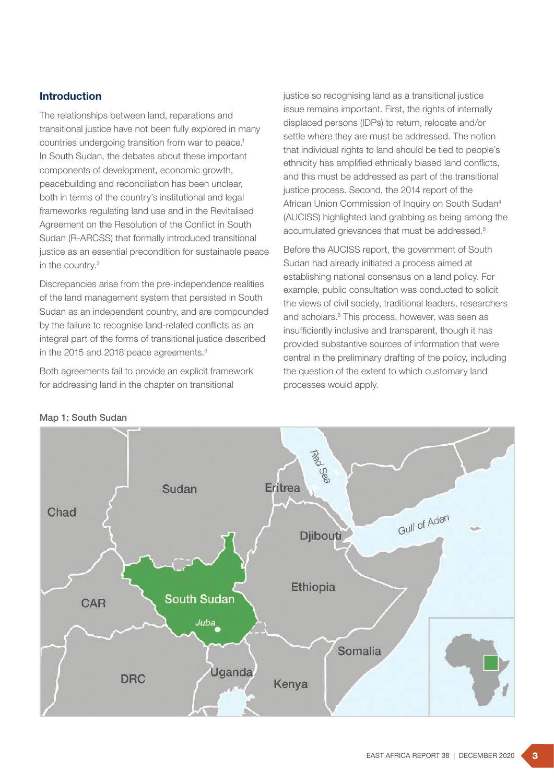# Introduction

The relationships between land, reparations and transitional justice have not been fully explored in many countries undergoing transition from war to peace.<sup>1</sup> In South Sudan, the debates about these important components of development, economic growth, peacebuilding and reconciliation has been unclear, both in terms of the country's institutional and legal frameworks regulating land use and in the Revitalised Agreement on the Resolution of the Conflict in South Sudan (R-ARCSS) that formally introduced transitional justice as an essential precondition for sustainable peace in the country.<sup>2</sup>

Discrepancies arise from the pre-independence realities of the land management system that persisted in South Sudan as an independent country, and are compounded by the failure to recognise land-related conflicts as an integral part of the forms of transitional justice described in the 2015 and 2018 peace agreements.<sup>3</sup>

Both agreements fail to provide an explicit framework for addressing land in the chapter on transitional

justice so recognising land as a transitional justice issue remains important. First, the rights of internally displaced persons (IDPs) to return, relocate and/or settle where they are must be addressed. The notion that individual rights to land should be tied to people's ethnicity has amplified ethnically biased land conflicts, and this must be addressed as part of the transitional justice process. Second, the 2014 report of the African Union Commission of Inquiry on South Sudan4 (AUCISS) highlighted land grabbing as being among the accumulated grievances that must be addressed.5

Before the AUCISS report, the government of South Sudan had already initiated a process aimed at establishing national consensus on a land policy. For example, public consultation was conducted to solicit the views of civil society, traditional leaders, researchers and scholars.<sup>6</sup> This process, however, was seen as insufficiently inclusive and transparent, though it has provided substantive sources of information that were central in the preliminary drafting of the policy, including the question of the extent to which customary land processes would apply.



Map 1: South Sudan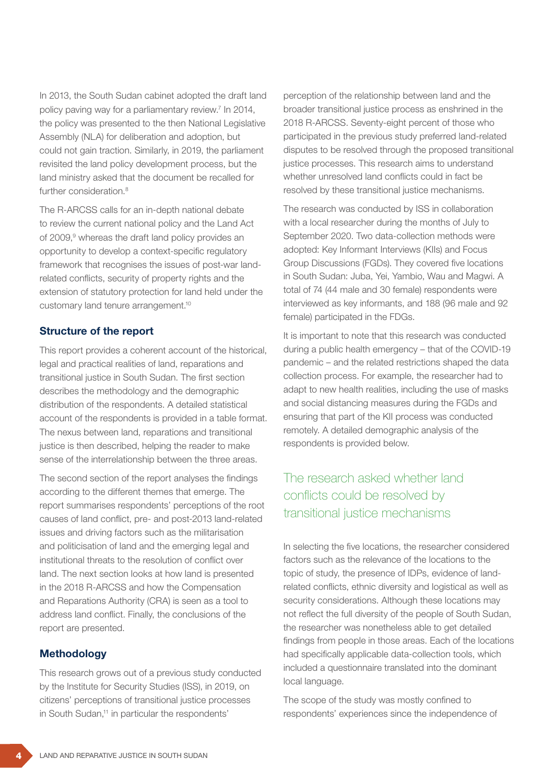In 2013, the South Sudan cabinet adopted the draft land policy paving way for a parliamentary review.7 In 2014, the policy was presented to the then National Legislative Assembly (NLA) for deliberation and adoption, but could not gain traction. Similarly, in 2019, the parliament revisited the land policy development process, but the land ministry asked that the document be recalled for further consideration<sup>8</sup>

The R-ARCSS calls for an in-depth national debate to review the current national policy and the Land Act of 2009,<sup>9</sup> whereas the draft land policy provides an opportunity to develop a context-specific regulatory framework that recognises the issues of post-war landrelated conflicts, security of property rights and the extension of statutory protection for land held under the customary land tenure arrangement.10

#### Structure of the report

This report provides a coherent account of the historical, legal and practical realities of land, reparations and transitional justice in South Sudan. The first section describes the methodology and the demographic distribution of the respondents. A detailed statistical account of the respondents is provided in a table format. The nexus between land, reparations and transitional justice is then described, helping the reader to make sense of the interrelationship between the three areas.

The second section of the report analyses the findings according to the different themes that emerge. The report summarises respondents' perceptions of the root causes of land conflict, pre- and post-2013 land-related issues and driving factors such as the militarisation and politicisation of land and the emerging legal and institutional threats to the resolution of conflict over land. The next section looks at how land is presented in the 2018 R-ARCSS and how the Compensation and Reparations Authority (CRA) is seen as a tool to address land conflict. Finally, the conclusions of the report are presented.

#### Methodology

This research grows out of a previous study conducted by the Institute for Security Studies (ISS), in 2019, on citizens' perceptions of transitional justice processes in South Sudan,<sup>11</sup> in particular the respondents'

perception of the relationship between land and the broader transitional justice process as enshrined in the 2018 R-ARCSS. Seventy-eight percent of those who participated in the previous study preferred land-related disputes to be resolved through the proposed transitional justice processes. This research aims to understand whether unresolved land conflicts could in fact be resolved by these transitional justice mechanisms.

The research was conducted by ISS in collaboration with a local researcher during the months of July to September 2020. Two data-collection methods were adopted: Key Informant Interviews (KIIs) and Focus Group Discussions (FGDs). They covered five locations in South Sudan: Juba, Yei, Yambio, Wau and Magwi. A total of 74 (44 male and 30 female) respondents were interviewed as key informants, and 188 (96 male and 92 female) participated in the FDGs.

It is important to note that this research was conducted during a public health emergency – that of the COVID-19 pandemic – and the related restrictions shaped the data collection process. For example, the researcher had to adapt to new health realities, including the use of masks and social distancing measures during the FGDs and ensuring that part of the KII process was conducted remotely. A detailed demographic analysis of the respondents is provided below.

# The research asked whether land conflicts could be resolved by transitional justice mechanisms

In selecting the five locations, the researcher considered factors such as the relevance of the locations to the topic of study, the presence of IDPs, evidence of landrelated conflicts, ethnic diversity and logistical as well as security considerations. Although these locations may not reflect the full diversity of the people of South Sudan, the researcher was nonetheless able to get detailed findings from people in those areas. Each of the locations had specifically applicable data-collection tools, which included a questionnaire translated into the dominant local language.

The scope of the study was mostly confined to respondents' experiences since the independence of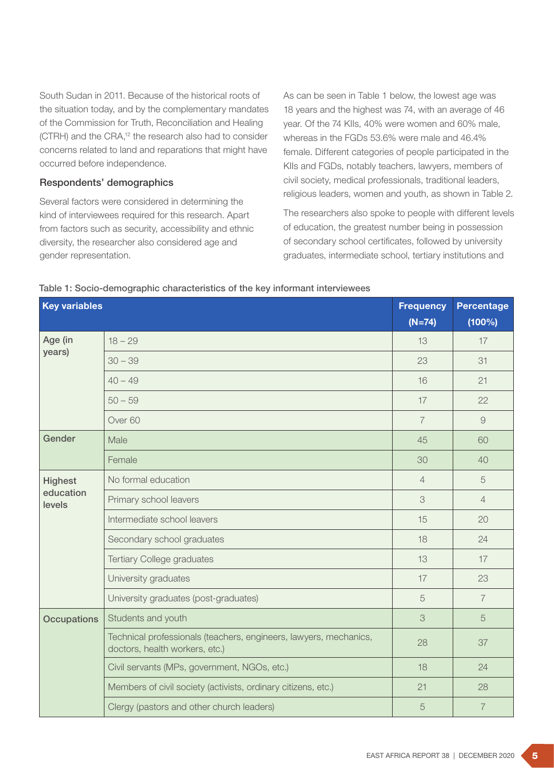South Sudan in 2011. Because of the historical roots of the situation today, and by the complementary mandates of the Commission for Truth, Reconciliation and Healing (CTRH) and the CRA,<sup>12</sup> the research also had to consider concerns related to land and reparations that might have occurred before independence.

#### Respondents' demographics

Several factors were considered in determining the kind of interviewees required for this research. Apart from factors such as security, accessibility and ethnic diversity, the researcher also considered age and gender representation.

As can be seen in Table 1 below, the lowest age was 18 years and the highest was 74, with an average of 46 year. Of the 74 KIIs, 40% were women and 60% male, whereas in the FGDs 53.6% were male and 46.4% female. Different categories of people participated in the KIIs and FGDs, notably teachers, lawyers, members of civil society, medical professionals, traditional leaders, religious leaders, women and youth, as shown in Table 2.

The researchers also spoke to people with different levels of education, the greatest number being in possession of secondary school certificates, followed by university graduates, intermediate school, tertiary institutions and

| <b>Key variables</b>                  |                                                                                                     | <b>Frequency</b><br>$(N=74)$ | <b>Percentage</b><br>(100%) |
|---------------------------------------|-----------------------------------------------------------------------------------------------------|------------------------------|-----------------------------|
| Age (in<br>years)                     | $18 - 29$                                                                                           | 13                           | 17                          |
|                                       | $30 - 39$                                                                                           | 23                           | 31                          |
|                                       | $40 - 49$                                                                                           | 16                           | 21                          |
|                                       | $50 - 59$                                                                                           | 17                           | 22                          |
|                                       | Over <sub>60</sub>                                                                                  | $\overline{7}$               | $\overline{9}$              |
| Gender                                | Male                                                                                                | 45                           | 60                          |
|                                       | Female                                                                                              | 30                           | 40                          |
| <b>Highest</b><br>education<br>levels | No formal education                                                                                 | $\overline{4}$               | 5                           |
|                                       | Primary school leavers                                                                              | 3                            | $\overline{4}$              |
|                                       | Intermediate school leavers                                                                         | 15                           | 20                          |
|                                       | Secondary school graduates                                                                          | 18                           | 24                          |
|                                       | <b>Tertiary College graduates</b>                                                                   | 13                           | 17                          |
|                                       | University graduates                                                                                | 17                           | 23                          |
|                                       | University graduates (post-graduates)                                                               | 5                            | $\overline{7}$              |
| <b>Occupations</b>                    | Students and youth                                                                                  | 3                            | 5                           |
|                                       | Technical professionals (teachers, engineers, lawyers, mechanics,<br>doctors, health workers, etc.) | 28                           | 37                          |
|                                       | Civil servants (MPs, government, NGOs, etc.)                                                        | 18                           | 24                          |
|                                       | Members of civil society (activists, ordinary citizens, etc.)                                       | 21                           | 28                          |
|                                       | Clergy (pastors and other church leaders)                                                           | 5                            | $\overline{7}$              |

#### Table 1: Socio-demographic characteristics of the key informant interviewees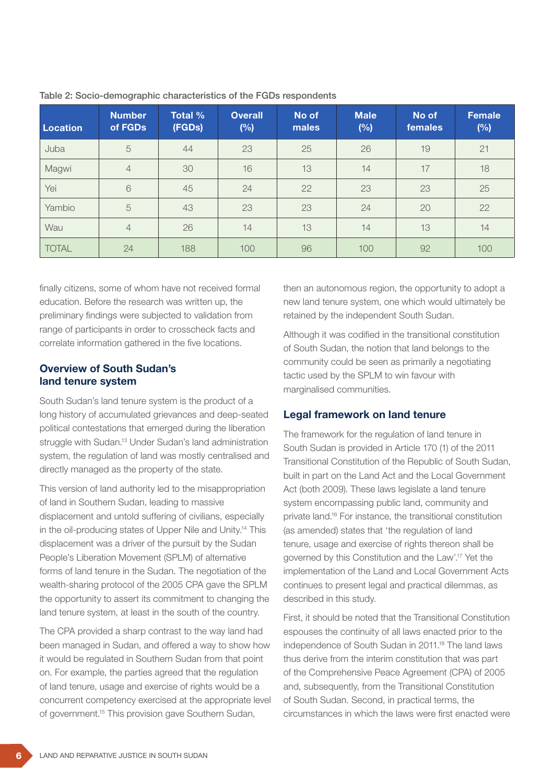| <b>Location</b> | <b>Number</b><br>of FGDs | <b>Total %</b><br>(FGDs) | <b>Overall</b><br>(%) | No of<br>males | <b>Male</b><br>(%) | No of<br>females | <b>Female</b><br>(%) |
|-----------------|--------------------------|--------------------------|-----------------------|----------------|--------------------|------------------|----------------------|
| Juba            | 5                        | 44                       | 23                    | 25             | 26                 | 19               | 21                   |
| Magwi           | $\overline{4}$           | 30                       | 16                    | 13             | 14                 | 17               | 18                   |
| Yei             | $\mathbf 6$              | 45                       | 24                    | 22             | 23                 | 23               | 25                   |
| Yambio          | 5                        | 43                       | 23                    | 23             | 24                 | 20               | 22                   |
| Wau             | $\overline{4}$           | 26                       | 14                    | 13             | 14                 | 13               | 14                   |
| <b>TOTAL</b>    | 24                       | 188                      | 100                   | 96             | 100                | 92               | 100                  |

|  |  |  |  | Table 2: Socio-demographic characteristics of the FGDs respondents |
|--|--|--|--|--------------------------------------------------------------------|

finally citizens, some of whom have not received formal education. Before the research was written up, the preliminary findings were subjected to validation from range of participants in order to crosscheck facts and correlate information gathered in the five locations.

### Overview of South Sudan's land tenure system

South Sudan's land tenure system is the product of a long history of accumulated grievances and deep-seated political contestations that emerged during the liberation struggle with Sudan.<sup>13</sup> Under Sudan's land administration system, the regulation of land was mostly centralised and directly managed as the property of the state.

This version of land authority led to the misappropriation of land in Southern Sudan, leading to massive displacement and untold suffering of civilians, especially in the oil-producing states of Upper Nile and Unity.14 This displacement was a driver of the pursuit by the Sudan People's Liberation Movement (SPLM) of alternative forms of land tenure in the Sudan. The negotiation of the wealth-sharing protocol of the 2005 CPA gave the SPLM the opportunity to assert its commitment to changing the land tenure system, at least in the south of the country.

The CPA provided a sharp contrast to the way land had been managed in Sudan, and offered a way to show how it would be regulated in Southern Sudan from that point on. For example, the parties agreed that the regulation of land tenure, usage and exercise of rights would be a concurrent competency exercised at the appropriate level of government.15 This provision gave Southern Sudan,

then an autonomous region, the opportunity to adopt a new land tenure system, one which would ultimately be retained by the independent South Sudan.

Although it was codified in the transitional constitution of South Sudan, the notion that land belongs to the community could be seen as primarily a negotiating tactic used by the SPLM to win favour with marginalised communities.

#### Legal framework on land tenure

The framework for the regulation of land tenure in South Sudan is provided in Article 170 (1) of the 2011 Transitional Constitution of the Republic of South Sudan, built in part on the Land Act and the Local Government Act (both 2009). These laws legislate a land tenure system encompassing public land, community and private land.16 For instance, the transitional constitution (as amended) states that 'the regulation of land tenure, usage and exercise of rights thereon shall be governed by this Constitution and the Law'.17 Yet the implementation of the Land and Local Government Acts continues to present legal and practical dilemmas, as described in this study.

First, it should be noted that the Transitional Constitution espouses the continuity of all laws enacted prior to the independence of South Sudan in 2011.<sup>18</sup> The land laws thus derive from the interim constitution that was part of the Comprehensive Peace Agreement (CPA) of 2005 and, subsequently, from the Transitional Constitution of South Sudan. Second, in practical terms, the circumstances in which the laws were first enacted were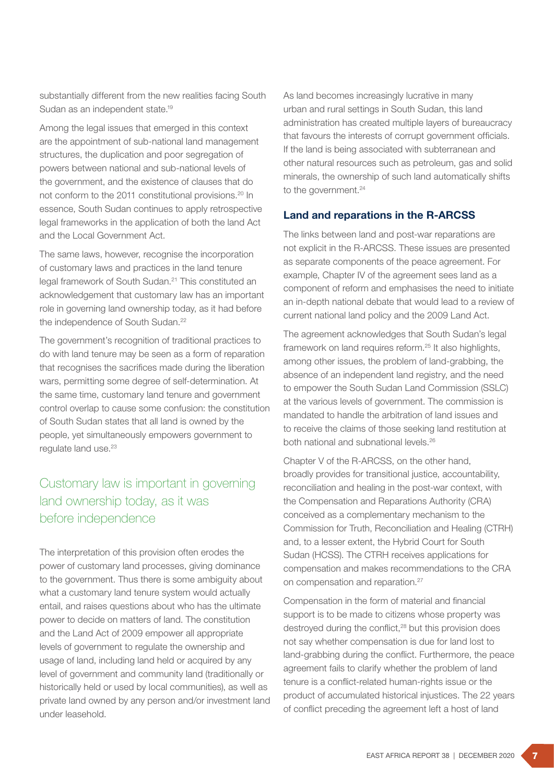substantially different from the new realities facing South Sudan as an independent state.19

Among the legal issues that emerged in this context are the appointment of sub-national land management structures, the duplication and poor segregation of powers between national and sub-national levels of the government, and the existence of clauses that do not conform to the 2011 constitutional provisions.<sup>20</sup> In essence, South Sudan continues to apply retrospective legal frameworks in the application of both the land Act and the Local Government Act.

The same laws, however, recognise the incorporation of customary laws and practices in the land tenure legal framework of South Sudan.21 This constituted an acknowledgement that customary law has an important role in governing land ownership today, as it had before the independence of South Sudan.22

The government's recognition of traditional practices to do with land tenure may be seen as a form of reparation that recognises the sacrifices made during the liberation wars, permitting some degree of self-determination. At the same time, customary land tenure and government control overlap to cause some confusion: the constitution of South Sudan states that all land is owned by the people, yet simultaneously empowers government to regulate land use.<sup>23</sup>

# Customary law is important in governing land ownership today, as it was before independence

The interpretation of this provision often erodes the power of customary land processes, giving dominance to the government. Thus there is some ambiguity about what a customary land tenure system would actually entail, and raises questions about who has the ultimate power to decide on matters of land. The constitution and the Land Act of 2009 empower all appropriate levels of government to regulate the ownership and usage of land, including land held or acquired by any level of government and community land (traditionally or historically held or used by local communities), as well as private land owned by any person and/or investment land under leasehold.

As land becomes increasingly lucrative in many urban and rural settings in South Sudan, this land administration has created multiple layers of bureaucracy that favours the interests of corrupt government officials. If the land is being associated with subterranean and other natural resources such as petroleum, gas and solid minerals, the ownership of such land automatically shifts to the government.<sup>24</sup>

### Land and reparations in the R-ARCSS

The links between land and post-war reparations are not explicit in the R-ARCSS. These issues are presented as separate components of the peace agreement. For example, Chapter IV of the agreement sees land as a component of reform and emphasises the need to initiate an in-depth national debate that would lead to a review of current national land policy and the 2009 Land Act.

The agreement acknowledges that South Sudan's legal framework on land requires reform.<sup>25</sup> It also highlights, among other issues, the problem of land-grabbing, the absence of an independent land registry, and the need to empower the South Sudan Land Commission (SSLC) at the various levels of government. The commission is mandated to handle the arbitration of land issues and to receive the claims of those seeking land restitution at both national and subnational levels.26

Chapter V of the R-ARCSS, on the other hand, broadly provides for transitional justice, accountability, reconciliation and healing in the post-war context, with the Compensation and Reparations Authority (CRA) conceived as a complementary mechanism to the Commission for Truth, Reconciliation and Healing (CTRH) and, to a lesser extent, the Hybrid Court for South Sudan (HCSS). The CTRH receives applications for compensation and makes recommendations to the CRA on compensation and reparation.27

Compensation in the form of material and financial support is to be made to citizens whose property was destroyed during the conflict,<sup>28</sup> but this provision does not say whether compensation is due for land lost to land-grabbing during the conflict. Furthermore, the peace agreement fails to clarify whether the problem of land tenure is a conflict-related human-rights issue or the product of accumulated historical injustices. The 22 years of conflict preceding the agreement left a host of land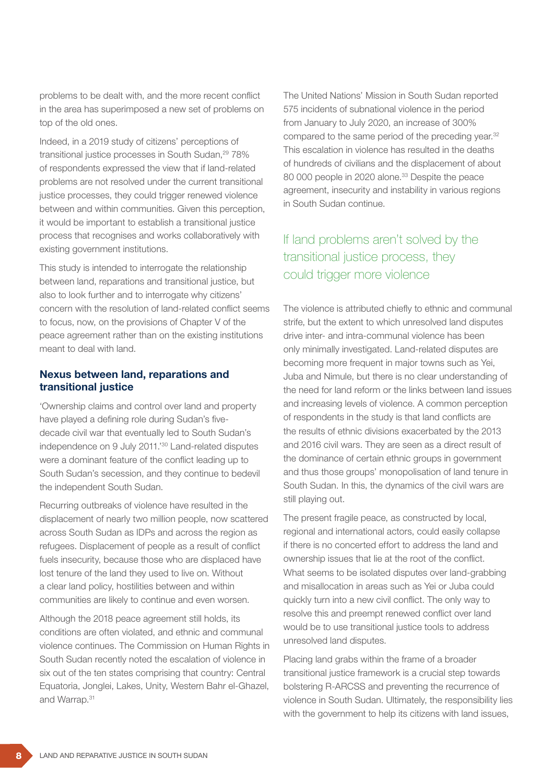problems to be dealt with, and the more recent conflict in the area has superimposed a new set of problems on top of the old ones.

Indeed, in a 2019 study of citizens' perceptions of transitional justice processes in South Sudan,<sup>29</sup> 78% of respondents expressed the view that if land-related problems are not resolved under the current transitional justice processes, they could trigger renewed violence between and within communities. Given this perception, it would be important to establish a transitional justice process that recognises and works collaboratively with existing government institutions.

This study is intended to interrogate the relationship between land, reparations and transitional justice, but also to look further and to interrogate why citizens' concern with the resolution of land-related conflict seems to focus, now, on the provisions of Chapter V of the peace agreement rather than on the existing institutions meant to deal with land.

### Nexus between land, reparations and transitional justice

'Ownership claims and control over land and property have played a defining role during Sudan's fivedecade civil war that eventually led to South Sudan's independence on 9 July 2011.'30 Land-related disputes were a dominant feature of the conflict leading up to South Sudan's secession, and they continue to bedevil the independent South Sudan.

Recurring outbreaks of violence have resulted in the displacement of nearly two million people, now scattered across South Sudan as IDPs and across the region as refugees. Displacement of people as a result of conflict fuels insecurity, because those who are displaced have lost tenure of the land they used to live on. Without a clear land policy, hostilities between and within communities are likely to continue and even worsen.

Although the 2018 peace agreement still holds, its conditions are often violated, and ethnic and communal violence continues. The Commission on Human Rights in South Sudan recently noted the escalation of violence in six out of the ten states comprising that country: Central Equatoria, Jonglei, Lakes, Unity, Western Bahr el-Ghazel, and Warrap.31

The United Nations' Mission in South Sudan reported 575 incidents of subnational violence in the period from January to July 2020, an increase of 300% compared to the same period of the preceding year.<sup>32</sup> This escalation in violence has resulted in the deaths of hundreds of civilians and the displacement of about 80 000 people in 2020 alone.<sup>33</sup> Despite the peace agreement, insecurity and instability in various regions in South Sudan continue.

# If land problems aren't solved by the transitional justice process, they could trigger more violence

The violence is attributed chiefly to ethnic and communal strife, but the extent to which unresolved land disputes drive inter- and intra-communal violence has been only minimally investigated. Land-related disputes are becoming more frequent in major towns such as Yei, Juba and Nimule, but there is no clear understanding of the need for land reform or the links between land issues and increasing levels of violence. A common perception of respondents in the study is that land conflicts are the results of ethnic divisions exacerbated by the 2013 and 2016 civil wars. They are seen as a direct result of the dominance of certain ethnic groups in government and thus those groups' monopolisation of land tenure in South Sudan. In this, the dynamics of the civil wars are still playing out.

The present fragile peace, as constructed by local, regional and international actors, could easily collapse if there is no concerted effort to address the land and ownership issues that lie at the root of the conflict. What seems to be isolated disputes over land-grabbing and misallocation in areas such as Yei or Juba could quickly turn into a new civil conflict. The only way to resolve this and preempt renewed conflict over land would be to use transitional justice tools to address unresolved land disputes.

Placing land grabs within the frame of a broader transitional justice framework is a crucial step towards bolstering R-ARCSS and preventing the recurrence of violence in South Sudan. Ultimately, the responsibility lies with the government to help its citizens with land issues,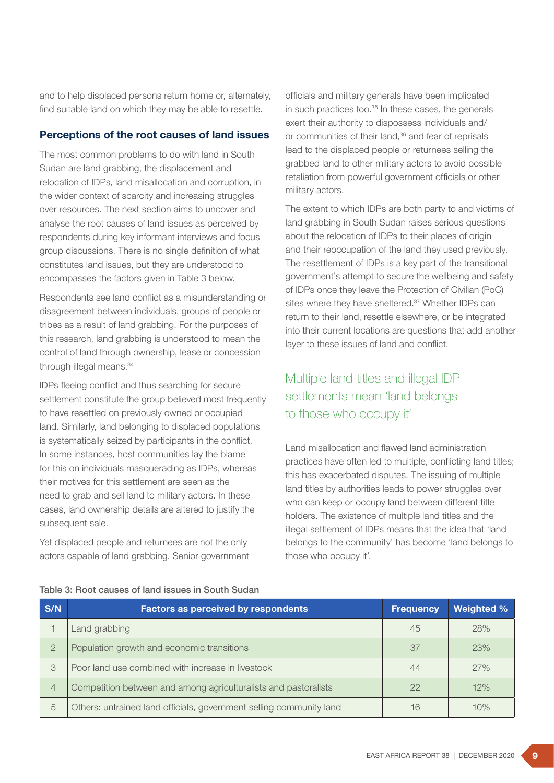and to help displaced persons return home or, alternately, find suitable land on which they may be able to resettle.

#### Perceptions of the root causes of land issues

The most common problems to do with land in South Sudan are land grabbing, the displacement and relocation of IDPs, land misallocation and corruption, in the wider context of scarcity and increasing struggles over resources. The next section aims to uncover and analyse the root causes of land issues as perceived by respondents during key informant interviews and focus group discussions. There is no single definition of what constitutes land issues, but they are understood to encompasses the factors given in Table 3 below.

Respondents see land conflict as a misunderstanding or disagreement between individuals, groups of people or tribes as a result of land grabbing. For the purposes of this research, land grabbing is understood to mean the control of land through ownership, lease or concession through illegal means.<sup>34</sup>

IDPs fleeing conflict and thus searching for secure settlement constitute the group believed most frequently to have resettled on previously owned or occupied land. Similarly, land belonging to displaced populations is systematically seized by participants in the conflict. In some instances, host communities lay the blame for this on individuals masquerading as IDPs, whereas their motives for this settlement are seen as the need to grab and sell land to military actors. In these cases, land ownership details are altered to justify the subsequent sale.

Yet displaced people and returnees are not the only actors capable of land grabbing. Senior government

officials and military generals have been implicated in such practices too. $35$  In these cases, the generals exert their authority to dispossess individuals and/ or communities of their land,<sup>36</sup> and fear of reprisals lead to the displaced people or returnees selling the grabbed land to other military actors to avoid possible retaliation from powerful government officials or other military actors.

The extent to which IDPs are both party to and victims of land grabbing in South Sudan raises serious questions about the relocation of IDPs to their places of origin and their reoccupation of the land they used previously. The resettlement of IDPs is a key part of the transitional government's attempt to secure the wellbeing and safety of IDPs once they leave the Protection of Civilian (PoC) sites where they have sheltered.<sup>37</sup> Whether IDPs can return to their land, resettle elsewhere, or be integrated into their current locations are questions that add another layer to these issues of land and conflict.

# Multiple land titles and illegal IDP settlements mean 'land belongs to those who occupy it'

Land misallocation and flawed land administration practices have often led to multiple, conflicting land titles; this has exacerbated disputes. The issuing of multiple land titles by authorities leads to power struggles over who can keep or occupy land between different title holders. The existence of multiple land titles and the illegal settlement of IDPs means that the idea that 'land belongs to the community' has become 'land belongs to those who occupy it'.

#### Table 3: Root causes of land issues in South Sudan

| S/N            | <b>Factors as perceived by respondents</b>                          | <b>Frequency</b> | <b>Weighted %</b> |
|----------------|---------------------------------------------------------------------|------------------|-------------------|
|                | Land grabbing                                                       | 45               | 28%               |
| $\overline{2}$ | Population growth and economic transitions                          | 37               | 23%               |
| 3              | Poor land use combined with increase in livestock                   | 44               | 27%               |
| $\overline{4}$ | Competition between and among agriculturalists and pastoralists     | 22               | 12%               |
| 5              | Others: untrained land officials, government selling community land | 16               | 10%               |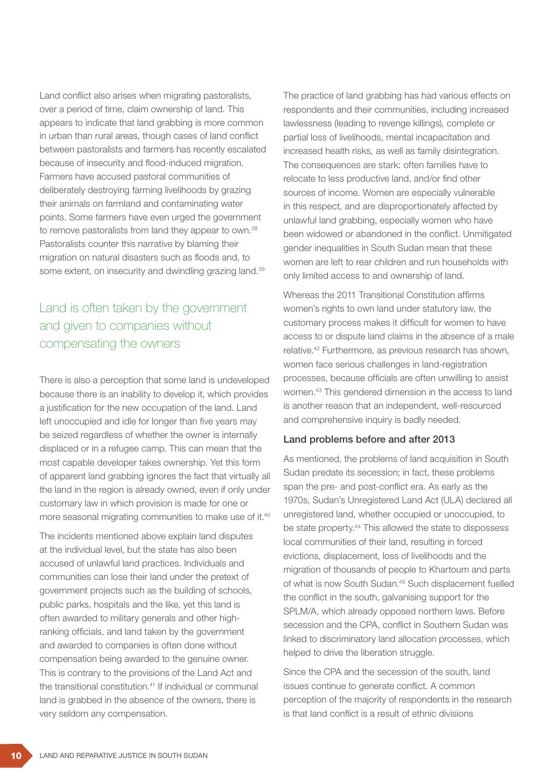Land conflict also arises when migrating pastoralists, over a period of time, claim ownership of land. This appears to indicate that land grabbing is more common in urban than rural areas, though cases of land conflict between pastoralists and farmers has recently escalated because of insecurity and flood-induced migration. Farmers have accused pastoral communities of deliberately destroying farming livelihoods by grazing their animals on farmland and contaminating water points. Some farmers have even urged the government to remove pastoralists from land they appear to own.<sup>38</sup> Pastoralists counter this narrative by blaming their migration on natural disasters such as floods and, to some extent, on insecurity and dwindling grazing land.<sup>39</sup>

# Land is often taken by the government and given to companies without compensating the owners

There is also a perception that some land is undeveloped because there is an inability to develop it, which provides a justification for the new occupation of the land. Land left unoccupied and idle for longer than five years may be seized regardless of whether the owner is internally displaced or in a refugee camp. This can mean that the most capable developer takes ownership. Yet this form of apparent land grabbing ignores the fact that virtually all the land in the region is already owned, even if only under customary law in which provision is made for one or more seasonal migrating communities to make use of it.40

The incidents mentioned above explain land disputes at the individual level, but the state has also been accused of unlawful land practices. Individuals and communities can lose their land under the pretext of government projects such as the building of schools, public parks, hospitals and the like, yet this land is often awarded to military generals and other highranking officials, and land taken by the government and awarded to companies is often done without compensation being awarded to the genuine owner. This is contrary to the provisions of the Land Act and the transitional constitution.<sup>41</sup> If individual or communal land is grabbed in the absence of the owners, there is very seldom any compensation.

The practice of land grabbing has had various effects on respondents and their communities, including increased lawlessness (leading to revenge killings), complete or partial loss of livelihoods, mental incapacitation and increased health risks, as well as family disintegration. The consequences are stark: often families have to relocate to less productive land, and/or find other sources of income. Women are especially vulnerable in this respect, and are disproportionately affected by unlawful land grabbing, especially women who have been widowed or abandoned in the conflict. Unmitigated gender inequalities in South Sudan mean that these women are left to rear children and run households with only limited access to and ownership of land.

Whereas the 2011 Transitional Constitution affirms women's rights to own land under statutory law, the customary process makes it difficult for women to have access to or dispute land claims in the absence of a male relative.42 Furthermore, as previous research has shown, women face serious challenges in land-registration processes, because officials are often unwilling to assist women.43 This gendered dimension in the access to land is another reason that an independent, well-resourced and comprehensive inquiry is badly needed.

#### Land problems before and after 2013

As mentioned, the problems of land acquisition in South Sudan predate its secession; in fact, these problems span the pre- and post-conflict era. As early as the 1970s, Sudan's Unregistered Land Act (ULA) declared all unregistered land, whether occupied or unoccupied, to be state property.<sup>44</sup> This allowed the state to dispossess local communities of their land, resulting in forced evictions, displacement, loss of livelihoods and the migration of thousands of people to Khartoum and parts of what is now South Sudan.45 Such displacement fuelled the conflict in the south, galvanising support for the SPLM/A, which already opposed northern laws. Before secession and the CPA, conflict in Southern Sudan was linked to discriminatory land allocation processes, which helped to drive the liberation struggle.

Since the CPA and the secession of the south, land issues continue to generate conflict. A common perception of the majority of respondents in the research is that land conflict is a result of ethnic divisions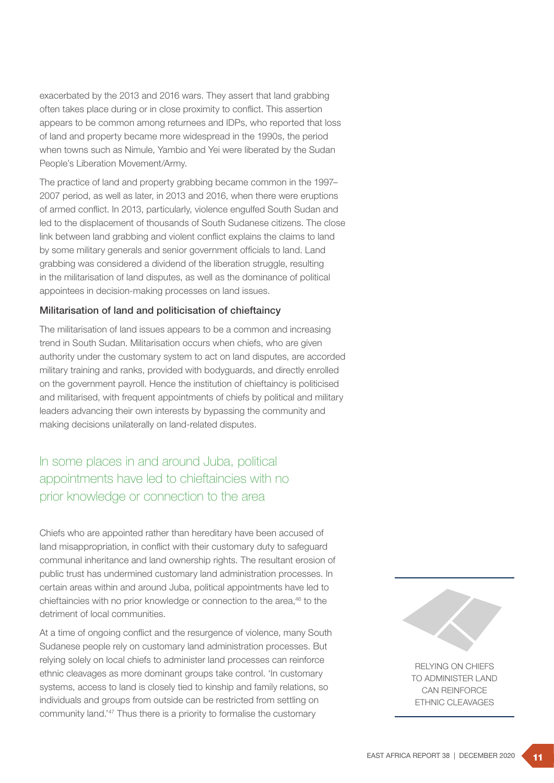exacerbated by the 2013 and 2016 wars. They assert that land grabbing often takes place during or in close proximity to conflict. This assertion appears to be common among returnees and IDPs, who reported that loss of land and property became more widespread in the 1990s, the period when towns such as Nimule, Yambio and Yei were liberated by the Sudan People's Liberation Movement/Army.

The practice of land and property grabbing became common in the 1997– 2007 period, as well as later, in 2013 and 2016, when there were eruptions of armed conflict. In 2013, particularly, violence engulfed South Sudan and led to the displacement of thousands of South Sudanese citizens. The close link between land grabbing and violent conflict explains the claims to land by some military generals and senior government officials to land. Land grabbing was considered a dividend of the liberation struggle, resulting in the militarisation of land disputes, as well as the dominance of political appointees in decision-making processes on land issues.

#### Militarisation of land and politicisation of chieftaincy

The militarisation of land issues appears to be a common and increasing trend in South Sudan. Militarisation occurs when chiefs, who are given authority under the customary system to act on land disputes, are accorded military training and ranks, provided with bodyguards, and directly enrolled on the government payroll. Hence the institution of chieftaincy is politicised and militarised, with frequent appointments of chiefs by political and military leaders advancing their own interests by bypassing the community and making decisions unilaterally on land-related disputes.

# In some places in and around Juba, political appointments have led to chieftaincies with no prior knowledge or connection to the area

Chiefs who are appointed rather than hereditary have been accused of land misappropriation, in conflict with their customary duty to safeguard communal inheritance and land ownership rights. The resultant erosion of public trust has undermined customary land administration processes. In certain areas within and around Juba, political appointments have led to chieftaincies with no prior knowledge or connection to the area,<sup>46</sup> to the detriment of local communities.

At a time of ongoing conflict and the resurgence of violence, many South Sudanese people rely on customary land administration processes. But relying solely on local chiefs to administer land processes can reinforce ethnic cleavages as more dominant groups take control. 'In customary systems, access to land is closely tied to kinship and family relations, so individuals and groups from outside can be restricted from settling on community land.'<sup>47</sup> Thus there is a priority to formalise the customary



RELYING ON CHIEFS TO ADMINISTER LAND CAN REINFORCE ETHNIC CLEAVAGES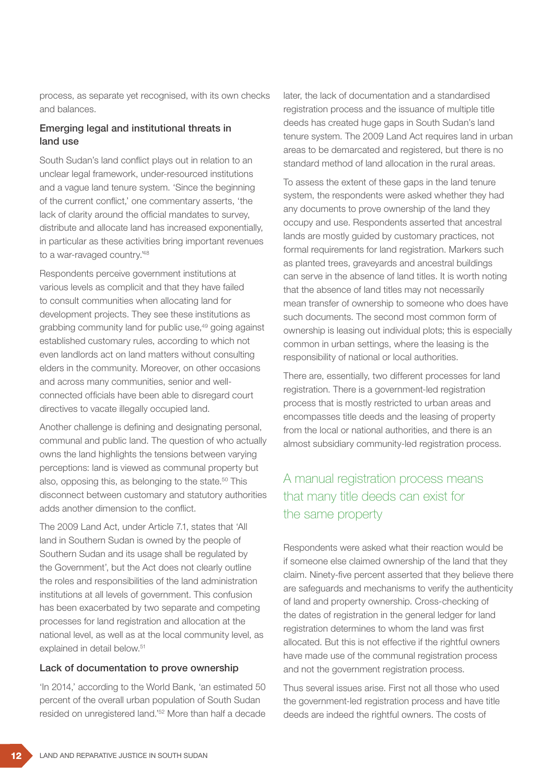process, as separate yet recognised, with its own checks and balances.

### Emerging legal and institutional threats in land use

South Sudan's land conflict plays out in relation to an unclear legal framework, under-resourced institutions and a vague land tenure system. 'Since the beginning of the current conflict,' one commentary asserts, 'the lack of clarity around the official mandates to survey, distribute and allocate land has increased exponentially, in particular as these activities bring important revenues to a war-ravaged country.<sup>48</sup>

Respondents perceive government institutions at various levels as complicit and that they have failed to consult communities when allocating land for development projects. They see these institutions as grabbing community land for public use,49 going against established customary rules, according to which not even landlords act on land matters without consulting elders in the community. Moreover, on other occasions and across many communities, senior and wellconnected officials have been able to disregard court directives to vacate illegally occupied land.

Another challenge is defining and designating personal, communal and public land. The question of who actually owns the land highlights the tensions between varying perceptions: land is viewed as communal property but also, opposing this, as belonging to the state.<sup>50</sup> This disconnect between customary and statutory authorities adds another dimension to the conflict.

The 2009 Land Act, under Article 7.1, states that 'All land in Southern Sudan is owned by the people of Southern Sudan and its usage shall be regulated by the Government', but the Act does not clearly outline the roles and responsibilities of the land administration institutions at all levels of government. This confusion has been exacerbated by two separate and competing processes for land registration and allocation at the national level, as well as at the local community level, as explained in detail below.<sup>51</sup>

#### Lack of documentation to prove ownership

'In 2014,' according to the World Bank, 'an estimated 50 percent of the overall urban population of South Sudan resided on unregistered land.'52 More than half a decade later, the lack of documentation and a standardised registration process and the issuance of multiple title deeds has created huge gaps in South Sudan's land tenure system. The 2009 Land Act requires land in urban areas to be demarcated and registered, but there is no standard method of land allocation in the rural areas.

To assess the extent of these gaps in the land tenure system, the respondents were asked whether they had any documents to prove ownership of the land they occupy and use. Respondents asserted that ancestral lands are mostly guided by customary practices, not formal requirements for land registration. Markers such as planted trees, graveyards and ancestral buildings can serve in the absence of land titles. It is worth noting that the absence of land titles may not necessarily mean transfer of ownership to someone who does have such documents. The second most common form of ownership is leasing out individual plots; this is especially common in urban settings, where the leasing is the responsibility of national or local authorities.

There are, essentially, two different processes for land registration. There is a government-led registration process that is mostly restricted to urban areas and encompasses title deeds and the leasing of property from the local or national authorities, and there is an almost subsidiary community-led registration process.

# A manual registration process means that many title deeds can exist for the same property

Respondents were asked what their reaction would be if someone else claimed ownership of the land that they claim. Ninety-five percent asserted that they believe there are safeguards and mechanisms to verify the authenticity of land and property ownership. Cross-checking of the dates of registration in the general ledger for land registration determines to whom the land was first allocated. But this is not effective if the rightful owners have made use of the communal registration process and not the government registration process.

Thus several issues arise. First not all those who used the government-led registration process and have title deeds are indeed the rightful owners. The costs of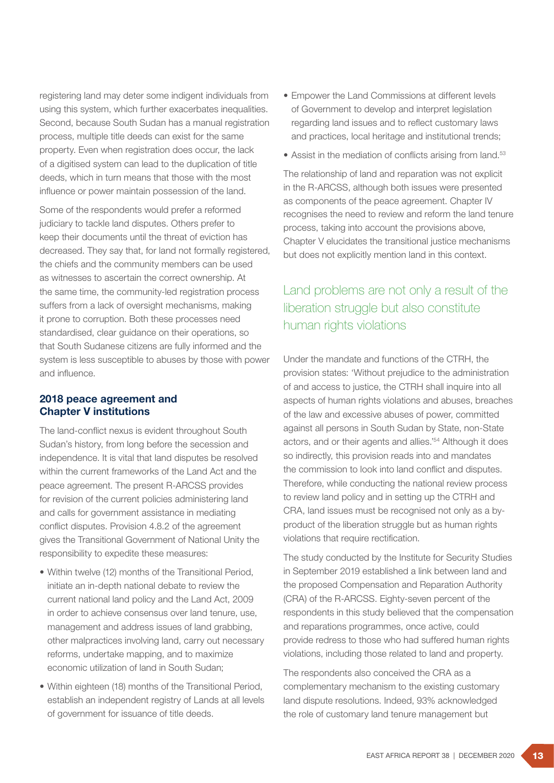registering land may deter some indigent individuals from using this system, which further exacerbates inequalities. Second, because South Sudan has a manual registration process, multiple title deeds can exist for the same property. Even when registration does occur, the lack of a digitised system can lead to the duplication of title deeds, which in turn means that those with the most influence or power maintain possession of the land.

Some of the respondents would prefer a reformed judiciary to tackle land disputes. Others prefer to keep their documents until the threat of eviction has decreased. They say that, for land not formally registered, the chiefs and the community members can be used as witnesses to ascertain the correct ownership. At the same time, the community-led registration process suffers from a lack of oversight mechanisms, making it prone to corruption. Both these processes need standardised, clear guidance on their operations, so that South Sudanese citizens are fully informed and the system is less susceptible to abuses by those with power and influence.

### 2018 peace agreement and Chapter V institutions

The land-conflict nexus is evident throughout South Sudan's history, from long before the secession and independence. It is vital that land disputes be resolved within the current frameworks of the Land Act and the peace agreement. The present R-ARCSS provides for revision of the current policies administering land and calls for government assistance in mediating conflict disputes. Provision 4.8.2 of the agreement gives the Transitional Government of National Unity the responsibility to expedite these measures:

- Within twelve (12) months of the Transitional Period, initiate an in-depth national debate to review the current national land policy and the Land Act, 2009 in order to achieve consensus over land tenure, use, management and address issues of land grabbing, other malpractices involving land, carry out necessary reforms, undertake mapping, and to maximize economic utilization of land in South Sudan;
- Within eighteen (18) months of the Transitional Period, establish an independent registry of Lands at all levels of government for issuance of title deeds.
- Empower the Land Commissions at different levels of Government to develop and interpret legislation regarding land issues and to reflect customary laws and practices, local heritage and institutional trends;
- Assist in the mediation of conflicts arising from land.<sup>53</sup>

The relationship of land and reparation was not explicit in the R-ARCSS, although both issues were presented as components of the peace agreement. Chapter IV recognises the need to review and reform the land tenure process, taking into account the provisions above, Chapter V elucidates the transitional justice mechanisms but does not explicitly mention land in this context.

# Land problems are not only a result of the liberation struggle but also constitute human rights violations

Under the mandate and functions of the CTRH, the provision states: 'Without prejudice to the administration of and access to justice, the CTRH shall inquire into all aspects of human rights violations and abuses, breaches of the law and excessive abuses of power, committed against all persons in South Sudan by State, non-State actors, and or their agents and allies.'54 Although it does so indirectly, this provision reads into and mandates the commission to look into land conflict and disputes. Therefore, while conducting the national review process to review land policy and in setting up the CTRH and CRA, land issues must be recognised not only as a byproduct of the liberation struggle but as human rights violations that require rectification.

The study conducted by the Institute for Security Studies in September 2019 established a link between land and the proposed Compensation and Reparation Authority (CRA) of the R-ARCSS. Eighty-seven percent of the respondents in this study believed that the compensation and reparations programmes, once active, could provide redress to those who had suffered human rights violations, including those related to land and property.

The respondents also conceived the CRA as a complementary mechanism to the existing customary land dispute resolutions. Indeed, 93% acknowledged the role of customary land tenure management but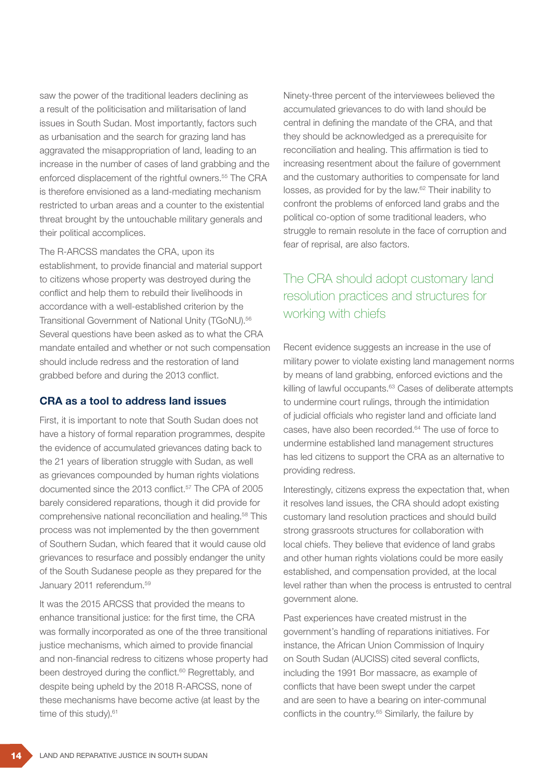saw the power of the traditional leaders declining as a result of the politicisation and militarisation of land issues in South Sudan. Most importantly, factors such as urbanisation and the search for grazing land has aggravated the misappropriation of land, leading to an increase in the number of cases of land grabbing and the enforced displacement of the rightful owners.<sup>55</sup> The CRA is therefore envisioned as a land-mediating mechanism restricted to urban areas and a counter to the existential threat brought by the untouchable military generals and their political accomplices.

The R-ARCSS mandates the CRA, upon its establishment, to provide financial and material support to citizens whose property was destroyed during the conflict and help them to rebuild their livelihoods in accordance with a well-established criterion by the Transitional Government of National Unity (TGoNU).56 Several questions have been asked as to what the CRA mandate entailed and whether or not such compensation should include redress and the restoration of land grabbed before and during the 2013 conflict.

### CRA as a tool to address land issues

First, it is important to note that South Sudan does not have a history of formal reparation programmes, despite the evidence of accumulated grievances dating back to the 21 years of liberation struggle with Sudan, as well as grievances compounded by human rights violations documented since the 2013 conflict.<sup>57</sup> The CPA of 2005 barely considered reparations, though it did provide for comprehensive national reconciliation and healing.58 This process was not implemented by the then government of Southern Sudan, which feared that it would cause old grievances to resurface and possibly endanger the unity of the South Sudanese people as they prepared for the January 2011 referendum.59

It was the 2015 ARCSS that provided the means to enhance transitional justice: for the first time, the CRA was formally incorporated as one of the three transitional justice mechanisms, which aimed to provide financial and non-financial redress to citizens whose property had been destroyed during the conflict.<sup>60</sup> Regrettably, and despite being upheld by the 2018 R-ARCSS, none of these mechanisms have become active (at least by the time of this study).<sup>61</sup>

Ninety-three percent of the interviewees believed the accumulated grievances to do with land should be central in defining the mandate of the CRA, and that they should be acknowledged as a prerequisite for reconciliation and healing. This affirmation is tied to increasing resentment about the failure of government and the customary authorities to compensate for land losses, as provided for by the law.62 Their inability to confront the problems of enforced land grabs and the political co-option of some traditional leaders, who struggle to remain resolute in the face of corruption and fear of reprisal, are also factors.

# The CRA should adopt customary land resolution practices and structures for working with chiefs

Recent evidence suggests an increase in the use of military power to violate existing land management norms by means of land grabbing, enforced evictions and the killing of lawful occupants.<sup>63</sup> Cases of deliberate attempts to undermine court rulings, through the intimidation of judicial officials who register land and officiate land cases, have also been recorded.<sup>64</sup> The use of force to undermine established land management structures has led citizens to support the CRA as an alternative to providing redress.

Interestingly, citizens express the expectation that, when it resolves land issues, the CRA should adopt existing customary land resolution practices and should build strong grassroots structures for collaboration with local chiefs. They believe that evidence of land grabs and other human rights violations could be more easily established, and compensation provided, at the local level rather than when the process is entrusted to central government alone.

Past experiences have created mistrust in the government's handling of reparations initiatives. For instance, the African Union Commission of Inquiry on South Sudan (AUCISS) cited several conflicts, including the 1991 Bor massacre, as example of conflicts that have been swept under the carpet and are seen to have a bearing on inter-communal conflicts in the country.<sup>65</sup> Similarly, the failure by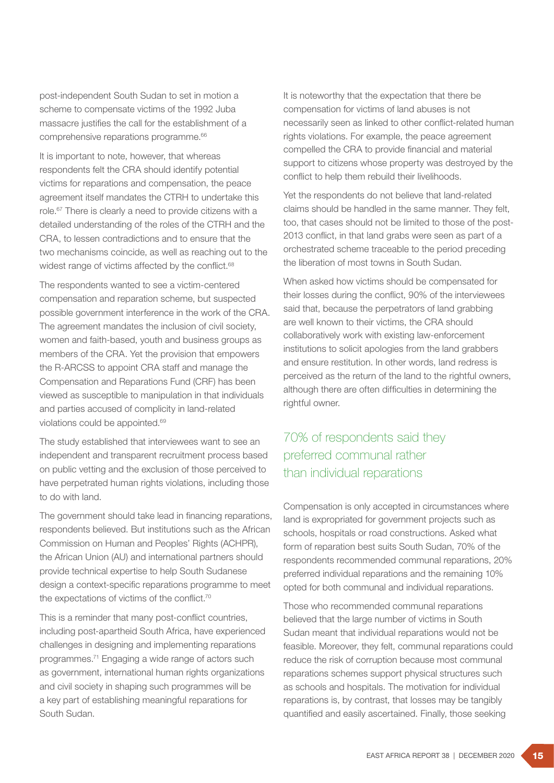post-independent South Sudan to set in motion a scheme to compensate victims of the 1992 Juba massacre justifies the call for the establishment of a comprehensive reparations programme.<sup>66</sup>

It is important to note, however, that whereas respondents felt the CRA should identify potential victims for reparations and compensation, the peace agreement itself mandates the CTRH to undertake this role.67 There is clearly a need to provide citizens with a detailed understanding of the roles of the CTRH and the CRA, to lessen contradictions and to ensure that the two mechanisms coincide, as well as reaching out to the widest range of victims affected by the conflict.<sup>68</sup>

The respondents wanted to see a victim-centered compensation and reparation scheme, but suspected possible government interference in the work of the CRA. The agreement mandates the inclusion of civil society, women and faith-based, youth and business groups as members of the CRA. Yet the provision that empowers the R-ARCSS to appoint CRA staff and manage the Compensation and Reparations Fund (CRF) has been viewed as susceptible to manipulation in that individuals and parties accused of complicity in land-related violations could be appointed.<sup>69</sup>

The study established that interviewees want to see an independent and transparent recruitment process based on public vetting and the exclusion of those perceived to have perpetrated human rights violations, including those to do with land.

The government should take lead in financing reparations, respondents believed. But institutions such as the African Commission on Human and Peoples' Rights (ACHPR), the African Union (AU) and international partners should provide technical expertise to help South Sudanese design a context-specific reparations programme to meet the expectations of victims of the conflict.70

This is a reminder that many post-conflict countries, including post-apartheid South Africa, have experienced challenges in designing and implementing reparations programmes.71 Engaging a wide range of actors such as government, international human rights organizations and civil society in shaping such programmes will be a key part of establishing meaningful reparations for South Sudan.

It is noteworthy that the expectation that there be compensation for victims of land abuses is not necessarily seen as linked to other conflict-related human rights violations. For example, the peace agreement compelled the CRA to provide financial and material support to citizens whose property was destroyed by the conflict to help them rebuild their livelihoods.

Yet the respondents do not believe that land-related claims should be handled in the same manner. They felt, too, that cases should not be limited to those of the post-2013 conflict, in that land grabs were seen as part of a orchestrated scheme traceable to the period preceding the liberation of most towns in South Sudan.

When asked how victims should be compensated for their losses during the conflict, 90% of the interviewees said that, because the perpetrators of land grabbing are well known to their victims, the CRA should collaboratively work with existing law-enforcement institutions to solicit apologies from the land grabbers and ensure restitution. In other words, land redress is perceived as the return of the land to the rightful owners, although there are often difficulties in determining the rightful owner.

# 70% of respondents said they preferred communal rather than individual reparations

Compensation is only accepted in circumstances where land is expropriated for government projects such as schools, hospitals or road constructions. Asked what form of reparation best suits South Sudan, 70% of the respondents recommended communal reparations, 20% preferred individual reparations and the remaining 10% opted for both communal and individual reparations.

Those who recommended communal reparations believed that the large number of victims in South Sudan meant that individual reparations would not be feasible. Moreover, they felt, communal reparations could reduce the risk of corruption because most communal reparations schemes support physical structures such as schools and hospitals. The motivation for individual reparations is, by contrast, that losses may be tangibly quantified and easily ascertained. Finally, those seeking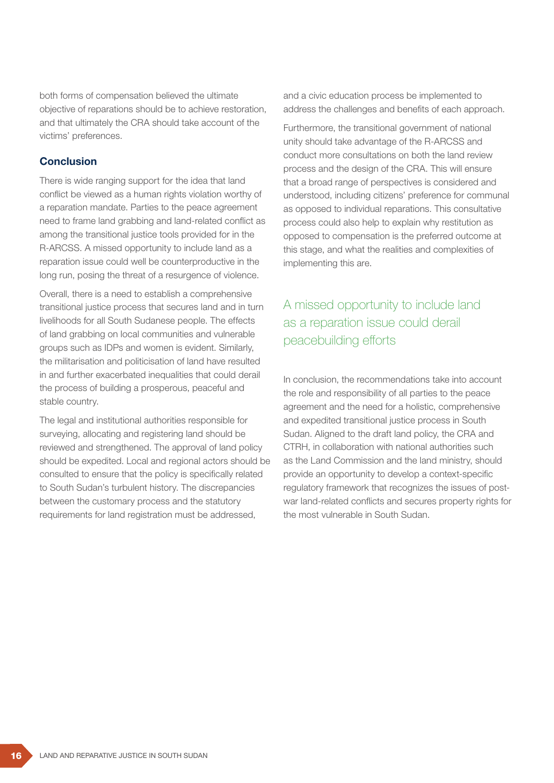both forms of compensation believed the ultimate objective of reparations should be to achieve restoration, and that ultimately the CRA should take account of the victims' preferences.

### Conclusion

There is wide ranging support for the idea that land conflict be viewed as a human rights violation worthy of a reparation mandate. Parties to the peace agreement need to frame land grabbing and land-related conflict as among the transitional justice tools provided for in the R-ARCSS. A missed opportunity to include land as a reparation issue could well be counterproductive in the long run, posing the threat of a resurgence of violence.

Overall, there is a need to establish a comprehensive transitional justice process that secures land and in turn livelihoods for all South Sudanese people. The effects of land grabbing on local communities and vulnerable groups such as IDPs and women is evident. Similarly, the militarisation and politicisation of land have resulted in and further exacerbated inequalities that could derail the process of building a prosperous, peaceful and stable country.

The legal and institutional authorities responsible for surveying, allocating and registering land should be reviewed and strengthened. The approval of land policy should be expedited. Local and regional actors should be consulted to ensure that the policy is specifically related to South Sudan's turbulent history. The discrepancies between the customary process and the statutory requirements for land registration must be addressed,

and a civic education process be implemented to address the challenges and benefits of each approach.

Furthermore, the transitional government of national unity should take advantage of the R-ARCSS and conduct more consultations on both the land review process and the design of the CRA. This will ensure that a broad range of perspectives is considered and understood, including citizens' preference for communal as opposed to individual reparations. This consultative process could also help to explain why restitution as opposed to compensation is the preferred outcome at this stage, and what the realities and complexities of implementing this are.

# A missed opportunity to include land as a reparation issue could derail peacebuilding efforts

In conclusion, the recommendations take into account the role and responsibility of all parties to the peace agreement and the need for a holistic, comprehensive and expedited transitional justice process in South Sudan. Aligned to the draft land policy, the CRA and CTRH, in collaboration with national authorities such as the Land Commission and the land ministry, should provide an opportunity to develop a context-specific regulatory framework that recognizes the issues of postwar land-related conflicts and secures property rights for the most vulnerable in South Sudan.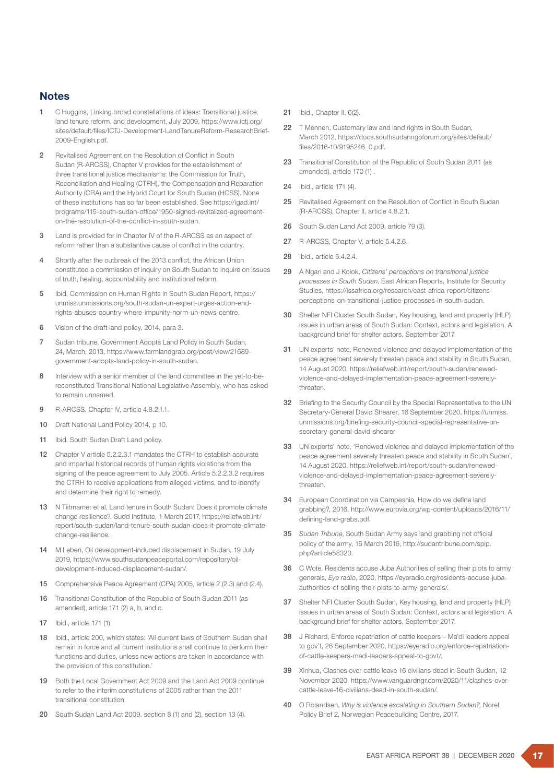#### **Notes**

- 1 C Huggins, Linking broad constellations of ideas: Transitional justice, land tenure reform, and development, July 2009, https://www.ictj.org/ sites/default/files/ICTJ-Development-LandTenureReform-ResearchBrief-2009-English.pdf.
- 2 Revitalised Agreement on the Resolution of Conflict in South Sudan (R-ARCSS), Chapter V provides for the establishment of three transitional justice mechanisms: the Commission for Truth, Reconciliation and Healing (CTRH), the Compensation and Reparation Authority (CRA) and the Hybrid Court for South Sudan (HCSS). None of these institutions has so far been established. See https://igad.int/ programs/115-south-sudan-office/1950-signed-revitalized-agreementon-the-resolution-of-the-conflict-in-south-sudan.
- 3 Land is provided for in Chapter IV of the R-ARCSS as an aspect of reform rather than a substantive cause of conflict in the country.
- 4 Shortly after the outbreak of the 2013 conflict, the African Union constituted a commission of inquiry on South Sudan to inquire on issues of truth, healing, accountability and institutional reform.
- 5 Ibid, Commission on Human Rights in South Sudan Report, https:// unmiss.unmissions.org/south-sudan-un-expert-urges-action-endrights-abuses-country-where-impunity-norm-un-news-centre.
- 6 Vision of the draft land policy, 2014, para 3.
- 7 Sudan tribune, Government Adopts Land Policy in South Sudan, 24, March, 2013, https://www.farmlandgrab.org/post/view/21689 government-adopts-land-policy-in-south-sudan.
- 8 Interview with a senior member of the land committee in the yet-to-bereconstituted Transitional National Legislative Assembly, who has asked to remain unnamed.
- 9 R-ARCSS, Chapter IV, article 4.8.2.1.1.
- 10 Draft National Land Policy 2014, p 10.
- 11 Ibid. South Sudan Draft Land policy.
- 12 Chapter V article 5.2.2.3.1 mandates the CTRH to establish accurate and impartial historical records of human rights violations from the signing of the peace agreement to July 2005. Article 5.2.2.3.2 requires the CTRH to receive applications from alleged victims, and to identify and determine their right to remedy.
- 13 N Tiitmamer et al, Land tenure in South Sudan: Does it promote climate change resilience?, Sudd Institute, 1 March 2017, https://reliefweb.int/ report/south-sudan/land-tenure-south-sudan-does-it-promote-climatechange-resilience.
- 14 M Leben, Oil development-induced displacement in Sudan, 19 July 2019, https://www.southsudanpeaceportal.com/repository/oildevelopment-induced-displacement-sudan/.
- 15 Comprehensive Peace Agreement (CPA) 2005, article 2 (2.3) and (2.4).
- 16 Transitional Constitution of the Republic of South Sudan 2011 (as amended), article 171 (2) a, b, and c.
- 17 Ibid., article 171 (1).
- 18 Ibid., article 200, which states: 'All current laws of Southern Sudan shall remain in force and all current institutions shall continue to perform their functions and duties, unless new actions are taken in accordance with the provision of this constitution.'
- 19 Both the Local Government Act 2009 and the Land Act 2009 continue to refer to the interim constitutions of 2005 rather than the 2011 transitional constitution.
- 20 South Sudan Land Act 2009, section 8 (1) and (2), section 13 (4).
- 21 Ibid., Chapter II, 6(2).
- 22 T Mennen, Customary law and land rights in South Sudan, March 2012, https://docs.southsudanngoforum.org/sites/default/ files/2016-10/9195246\_0.pdf.
- 23 Transitional Constitution of the Republic of South Sudan 2011 (as amended), article 170 (1) .
- 24 Ibid., article 171 (4).
- 25 Revitalised Agreement on the Resolution of Conflict in South Sudan (R-ARCSS), Chapter II, article 4.8.2.1.
- 26 South Sudan Land Act 2009, article 79 (3).
- 27 R-ARCSS, Chapter V, article 5.4.2.6.
- 28 Ibid., article 5.4.2.4.
- 29 A Ngari and J Kolok, *Citizens' perceptions on transitional justice processes in South Sudan*, East African Reports, Institute for Security Studies, https://issafrica.org/research/east-africa-report/citizensperceptions-on-transitional-justice-processes-in-south-sudan.
- 30 Shelter NFI Cluster South Sudan, Key housing, land and property (HLP) issues in urban areas of South Sudan: Context, actors and legislation. A background brief for shelter actors, September 2017.
- 31 UN experts' note, Renewed violence and delayed implementation of the peace agreement severely threaten peace and stability in South Sudan, 14 August 2020, https://reliefweb.int/report/south-sudan/renewedviolence-and-delayed-implementation-peace-agreement-severelythreaten.
- 32 Briefing to the Security Council by the Special Representative to the UN Secretary-General David Shearer, 16 September 2020, https://unmiss. unmissions.org/briefing-security-council-special-representative-unsecretary-general-david-shearer
- 33 UN experts' note, 'Renewed violence and delayed implementation of the peace agreement severely threaten peace and stability in South Sudan', 14 August 2020, https://reliefweb.int/report/south-sudan/renewedviolence-and-delayed-implementation-peace-agreement-severelythreaten.
- 34 European Coordination via Campesnia, How do we define land grabbing?, 2016, http://www.eurovia.org/wp-content/uploads/2016/11/ defining-land-grabs.pdf.
- 35 *Sudan Tribune*, South Sudan Army says land grabbing not official policy of the army, 16 March 2016, http://sudantribune.com/spip. php?article58320.
- 36 C Wote, Residents accuse Juba Authorities of selling their plots to army generals, *Eye radio*, 2020, https://eyeradio.org/residents-accuse-jubaauthorities-of-selling-their-plots-to-army-generals/.
- 37 Shelter NFI Cluster South Sudan, Key housing, land and property (HLP) issues in urban areas of South Sudan: Context, actors and legislation. A background brief for shelter actors, September 2017.
- 38 J Richard, Enforce repatriation of cattle keepers Ma'di leaders appeal to gov't, 26 September 2020, https://eyeradio.org/enforce-repatriationof-cattle-keepers-madi-leaders-appeal-to-govt/.
- 39 Xinhua, Clashes over cattle leave 16 civilians dead in South Sudan, 12 November 2020, https://www.vanguardngr.com/2020/11/clashes-overcattle-leave-16-civilians-dead-in-south-sudan/.
- 40 O Rolandsen, *Why is violence escalating in Southern Sudan?,* Noref Policy Brief 2, Norwegian Peacebuilding Centre, 2017.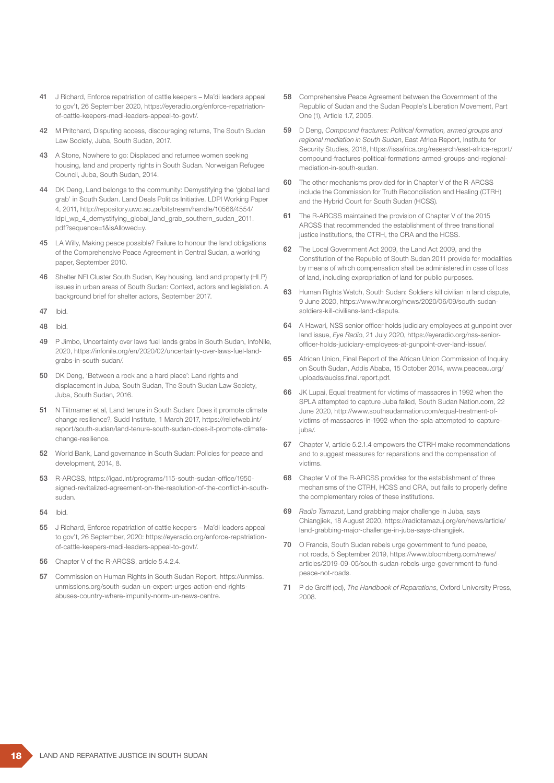- 41 J Richard, Enforce repatriation of cattle keepers Ma'di leaders appeal to gov't, 26 September 2020, https://eyeradio.org/enforce-repatriationof-cattle-keepers-madi-leaders-appeal-to-govt/.
- 42 M Pritchard, Disputing access, discouraging returns, The South Sudan Law Society, Juba, South Sudan, 2017.
- 43 A Stone, Nowhere to go: Displaced and returnee women seeking housing, land and property rights in South Sudan. Norweigan Refugee Council, Juba, South Sudan, 2014.
- 44 DK Deng, Land belongs to the community: Demystifying the 'global land grab' in South Sudan. Land Deals Politics Initiative. LDPI Working Paper 4, 2011, http://repository.uwc.ac.za/bitstream/handle/10566/4554/ ldpi\_wp\_4\_demystifying\_global\_land\_grab\_southern\_sudan\_2011. pdf?sequence=1&isAllowed=y.
- 45 LA Willy, Making peace possible? Failure to honour the land obligations of the Comprehensive Peace Agreement in Central Sudan, a working paper, September 2010.
- 46 Shelter NFI Cluster South Sudan, Key housing, land and property (HLP) issues in urban areas of South Sudan: Context, actors and legislation. A background brief for shelter actors, September 2017.
- 47 Ibid.
- 48 Ibid.
- 49 P Jimbo, Uncertainty over laws fuel lands grabs in South Sudan, InfoNile, 2020, https://infonile.org/en/2020/02/uncertainty-over-laws-fuel-landgrabs-in-south-sudan/.
- 50 DK Deng, 'Between a rock and a hard place': Land rights and displacement in Juba, South Sudan, The South Sudan Law Society, Juba, South Sudan, 2016.
- 51 N Tiitmamer et al, Land tenure in South Sudan: Does it promote climate change resilience?, Sudd Institute, 1 March 2017, https://reliefweb.int/ report/south-sudan/land-tenure-south-sudan-does-it-promote-climatechange-resilience.
- 52 World Bank, Land governance in South Sudan: Policies for peace and development, 2014, 8.
- 53 R-ARCSS, https://igad.int/programs/115-south-sudan-office/1950 signed-revitalized-agreement-on-the-resolution-of-the-conflict-in-southsudan.
- 54 Ibid.
- 55 J Richard, Enforce repatriation of cattle keepers Ma'di leaders appeal to gov't, 26 September, 2020: https://eyeradio.org/enforce-repatriationof-cattle-keepers-madi-leaders-appeal-to-govt/.
- 56 Chapter V of the R-ARCSS, article 5.4.2.4.
- 57 Commission on Human Rights in South Sudan Report, https://unmiss. unmissions.org/south-sudan-un-expert-urges-action-end-rightsabuses-country-where-impunity-norm-un-news-centre.
- 58 Comprehensive Peace Agreement between the Government of the Republic of Sudan and the Sudan People's Liberation Movement, Part One (1), Article 1.7, 2005.
- 59 D Deng, *Compound fractures: Political formation, armed groups and regional mediation in South Sudan*, East Africa Report, Institute for Security Studies, 2018, https://issafrica.org/research/east-africa-report/ compound-fractures-political-formations-armed-groups-and-regionalmediation-in-south-sudan.
- 60 The other mechanisms provided for in Chapter V of the R-ARCSS include the Commission for Truth Reconciliation and Healing (CTRH) and the Hybrid Court for South Sudan (HCSS).
- 61 The R-ARCSS maintained the provision of Chapter V of the 2015 ARCSS that recommended the establishment of three transitional justice institutions, the CTRH, the CRA and the HCSS.
- 62 The Local Government Act 2009, the Land Act 2009, and the Constitution of the Republic of South Sudan 2011 provide for modalities by means of which compensation shall be administered in case of loss of land, including expropriation of land for public purposes.
- 63 Human Rights Watch, South Sudan: Soldiers kill civilian in land dispute, 9 June 2020, https://www.hrw.org/news/2020/06/09/south-sudansoldiers-kill-civilians-land-dispute.
- 64 A Hawari, NSS senior officer holds judiciary employees at gunpoint over land issue, *Eye Radio*, 21 July 2020, https://eyeradio.org/nss-seniorofficer-holds-judiciary-employees-at-gunpoint-over-land-issue/.
- 65 African Union, Final Report of the African Union Commission of Inquiry on South Sudan, Addis Ababa, 15 October 2014, www.peaceau.org/ uploads/auciss.final.report.pdf.
- 66 JK Lupai, Equal treatment for victims of massacres in 1992 when the SPLA attempted to capture Juba failed, South Sudan Nation.com, 22 June 2020, http://www.southsudannation.com/equal-treatment-ofvictims-of-massacres-in-1992-when-the-spla-attempted-to-capturejuba/.
- 67 Chapter V, article 5.2.1.4 empowers the CTRH make recommendations and to suggest measures for reparations and the compensation of victims.
- 68 Chapter V of the R-ARCSS provides for the establishment of three mechanisms of the CTRH, HCSS and CRA, but fails to properly define the complementary roles of these institutions.
- 69 *Radio Tamazut*, Land grabbing major challenge in Juba, says Chiangjiek, 18 August 2020, https://radiotamazuj.org/en/news/article/ land-grabbing-major-challenge-in-juba-says-chiangjiek.
- 70 O Francis, South Sudan rebels urge government to fund peace, not roads, 5 September 2019, https://www.bloomberg.com/news/ articles/2019-09-05/south-sudan-rebels-urge-government-to-fundpeace-not-roads.
- 71 P de Greiff (ed), *The Handbook of Reparations*, Oxford University Press, 2008.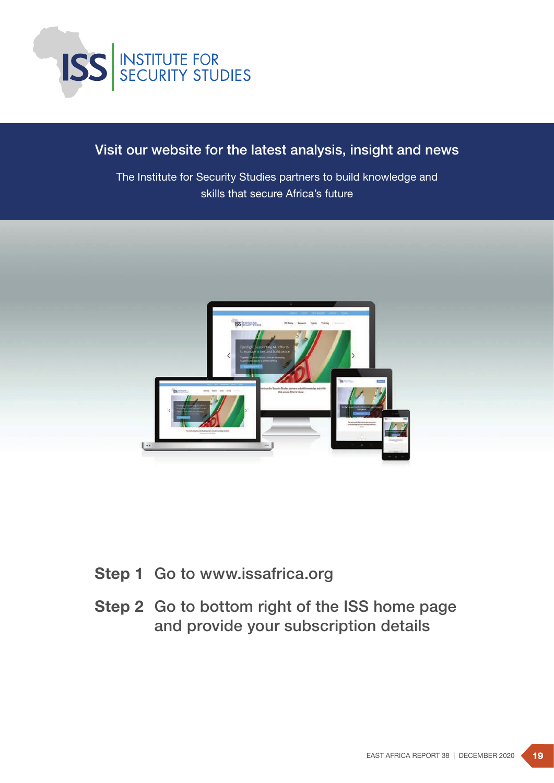

# Visit our website for the latest analysis, insight and news

The Institute for Security Studies partners to build knowledge and skills that secure Africa's future



- Step 1 Go to www.issafrica.org
- Step 2 Go to bottom right of the ISS home page and provide your subscription details